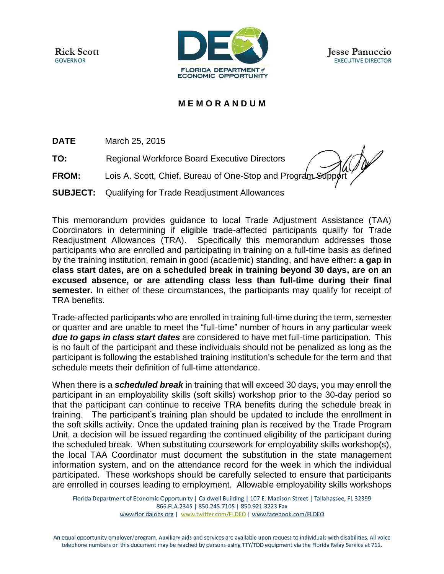**Rick Scott GOVERNOR** 



**Jesse Panuccio EXECUTIVE DIRECTOR** 

## **M E M O R A N D U M**

**DATE** March 25, 2015

**TO:** Regional Workforce Board Executive Directors

**FROM:** Lois A. Scott, Chief, Bureau of One-Stop and Program Support

**SUBJECT:** Qualifying for Trade Readjustment Allowances

This memorandum provides guidance to local Trade Adjustment Assistance (TAA) Coordinators in determining if eligible trade-affected participants qualify for Trade Readjustment Allowances (TRA). Specifically this memorandum addresses those participants who are enrolled and participating in training on a full-time basis as defined by the training institution, remain in good (academic) standing, and have either**: a gap in class start dates, are on a scheduled break in training beyond 30 days, are on an excused absence, or are attending class less than full-time during their final semester.** In either of these circumstances, the participants may qualify for receipt of TRA benefits.

Trade-affected participants who are enrolled in training full-time during the term, semester or quarter and are unable to meet the "full-time" number of hours in any particular week *due to gaps in class start dates* are considered to have met full-time participation. This is no fault of the participant and these individuals should not be penalized as long as the participant is following the established training institution's schedule for the term and that schedule meets their definition of full-time attendance.

When there is a *scheduled break* in training that will exceed 30 days, you may enroll the participant in an employability skills (soft skills) workshop prior to the 30-day period so that the participant can continue to receive TRA benefits during the schedule break in training. The participant's training plan should be updated to include the enrollment in the soft skills activity. Once the updated training plan is received by the Trade Program Unit, a decision will be issued regarding the continued eligibility of the participant during the scheduled break. When substituting coursework for employability skills workshop(s), the local TAA Coordinator must document the substitution in the state management information system, and on the attendance record for the week in which the individual participated. These workshops should be carefully selected to ensure that participants are enrolled in courses leading to employment. Allowable employability skills workshops

Florida Department of Economic Opportunity | Caldwell Building | 107 E. Madison Street | Tallahassee, FL 32399 866.FLA.2345 | 850.245.7105 | 850.921.3223 Fax www.floridajobs.org | www.twitter.com/FLDEO | www.facebook.com/FLDEO

An equal opportunity employer/program. Auxiliary aids and services are available upon request to individuals with disabilities. All voice telephone numbers on this document may be reached by persons using TTY/TDD equipment via the Florida Relay Service at 711.